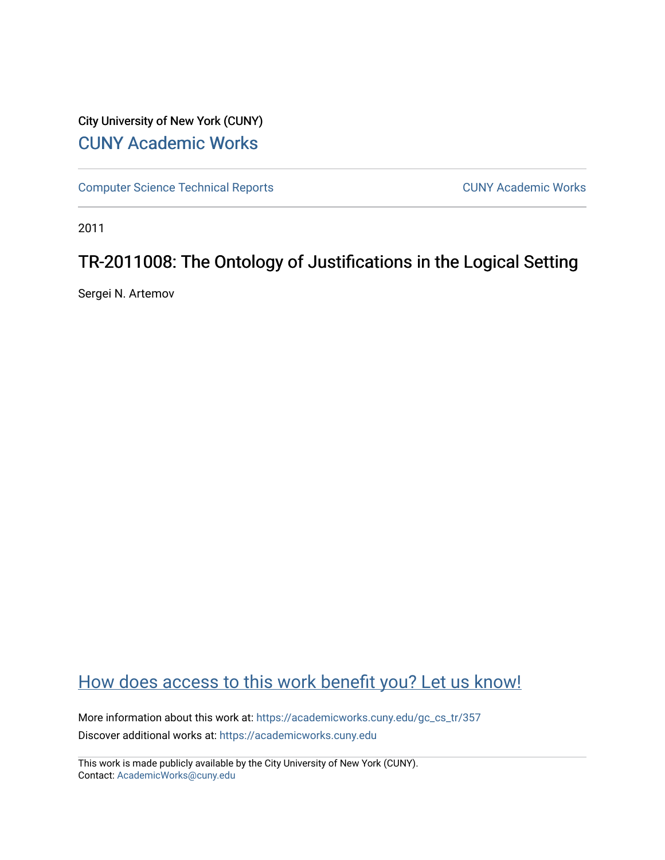# City University of New York (CUNY) [CUNY Academic Works](https://academicworks.cuny.edu/)

[Computer Science Technical Reports](https://academicworks.cuny.edu/gc_cs_tr) **CUNY Academic Works** CUNY Academic Works

2011

# TR-2011008: The Ontology of Justifications in the Logical Setting

Sergei N. Artemov

# [How does access to this work benefit you? Let us know!](http://ols.cuny.edu/academicworks/?ref=https://academicworks.cuny.edu/gc_cs_tr/357)

More information about this work at: https://academicworks.cuny.edu/gc\_cs\_tr/357 Discover additional works at: [https://academicworks.cuny.edu](https://academicworks.cuny.edu/?)

This work is made publicly available by the City University of New York (CUNY). Contact: [AcademicWorks@cuny.edu](mailto:AcademicWorks@cuny.edu)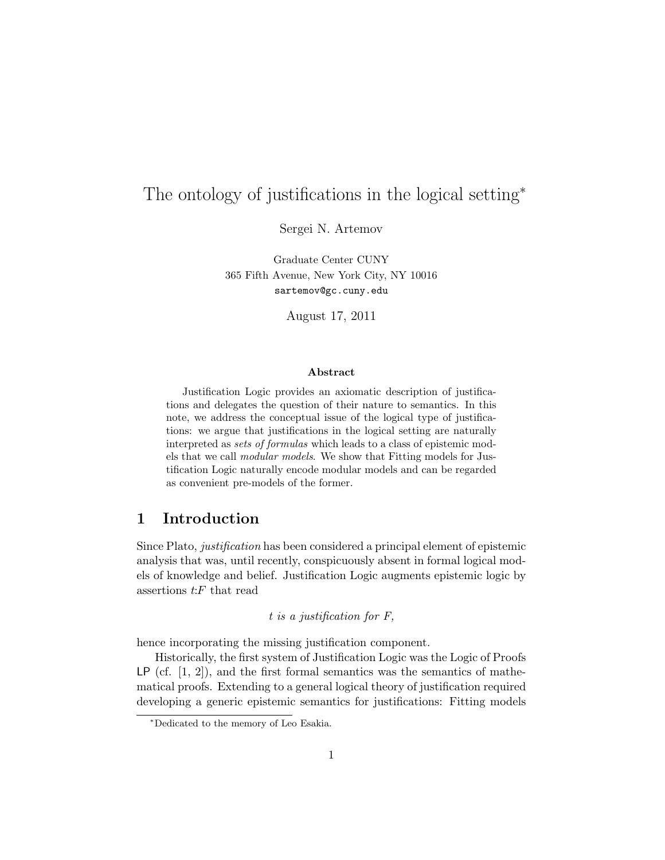# The ontology of justifications in the logical setting<sup>∗</sup>

Sergei N. Artemov

Graduate Center CUNY 365 Fifth Avenue, New York City, NY 10016 sartemov@gc.cuny.edu

August 17, 2011

#### Abstract

Justification Logic provides an axiomatic description of justifications and delegates the question of their nature to semantics. In this note, we address the conceptual issue of the logical type of justifications: we argue that justifications in the logical setting are naturally interpreted as sets of formulas which leads to a class of epistemic models that we call modular models. We show that Fitting models for Justification Logic naturally encode modular models and can be regarded as convenient pre-models of the former.

## 1 Introduction

Since Plato, justification has been considered a principal element of epistemic analysis that was, until recently, conspicuously absent in formal logical models of knowledge and belief. Justification Logic augments epistemic logic by assertions  $t$ : $F$  that read

### t is a justification for F,

hence incorporating the missing justification component.

Historically, the first system of Justification Logic was the Logic of Proofs  $LP$  (cf.  $[1, 2]$ ), and the first formal semantics was the semantics of mathematical proofs. Extending to a general logical theory of justification required developing a generic epistemic semantics for justifications: Fitting models

<sup>∗</sup>Dedicated to the memory of Leo Esakia.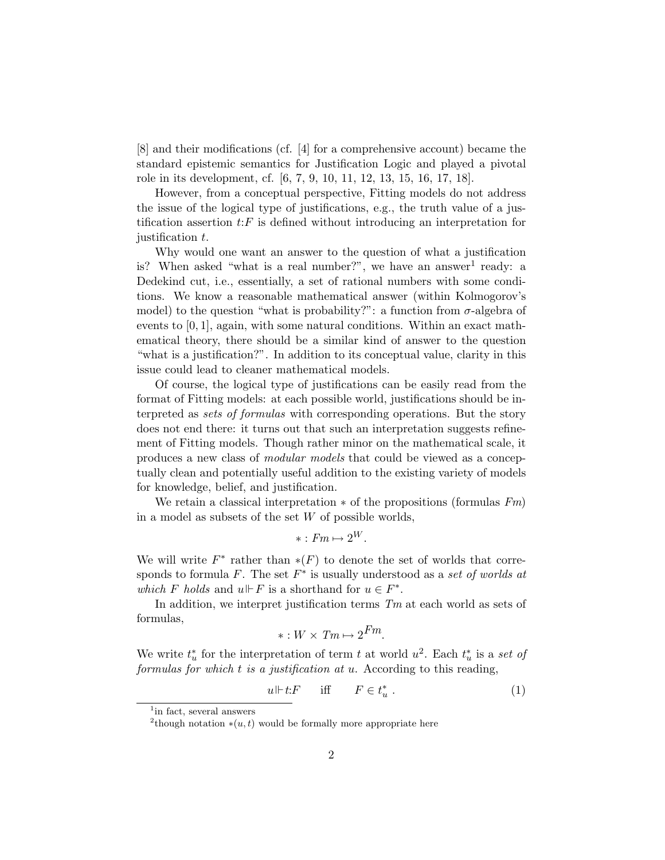[8] and their modifications (cf. [4] for a comprehensive account) became the standard epistemic semantics for Justification Logic and played a pivotal role in its development, cf. [6, 7, 9, 10, 11, 12, 13, 15, 16, 17, 18].

However, from a conceptual perspective, Fitting models do not address the issue of the logical type of justifications, e.g., the truth value of a justification assertion  $t$ :  $F$  is defined without introducing an interpretation for justification t.

Why would one want an answer to the question of what a justification is? When asked "what is a real number?", we have an answer<sup>1</sup> ready: a Dedekind cut, i.e., essentially, a set of rational numbers with some conditions. We know a reasonable mathematical answer (within Kolmogorov's model) to the question "what is probability?": a function from  $\sigma$ -algebra of events to  $[0, 1]$ , again, with some natural conditions. Within an exact mathematical theory, there should be a similar kind of answer to the question "what is a justification?". In addition to its conceptual value, clarity in this issue could lead to cleaner mathematical models.

Of course, the logical type of justifications can be easily read from the format of Fitting models: at each possible world, justifications should be interpreted as sets of formulas with corresponding operations. But the story does not end there: it turns out that such an interpretation suggests refinement of Fitting models. Though rather minor on the mathematical scale, it produces a new class of modular models that could be viewed as a conceptually clean and potentially useful addition to the existing variety of models for knowledge, belief, and justification.

We retain a classical interpretation  $*$  of the propositions (formulas  $F_m$ ) in a model as subsets of the set  $W$  of possible worlds,

$$
* : Fm \mapsto 2^W.
$$

We will write  $F^*$  rather than  $*(F)$  to denote the set of worlds that corresponds to formula  $F$ . The set  $F^*$  is usually understood as a set of worlds at which F holds and  $u \Vdash F$  is a shorthand for  $u \in F^*$ .

In addition, we interpret justification terms  $Tm$  at each world as sets of formulas,

$$
*: W \times Tm \mapsto 2^{Fm}.
$$

We write  $t_u^*$  for the interpretation of term t at world  $u^2$ . Each  $t_u^*$  is a set of formulas for which  $t$  is a justification at  $u$ . According to this reading,

$$
u \Vdash t \colon F \qquad \text{iff} \qquad F \in t_u^* \tag{1}
$$

<sup>&</sup>lt;sup>1</sup>in fact, several answers

<sup>&</sup>lt;sup>2</sup>though notation  $*(u, t)$  would be formally more appropriate here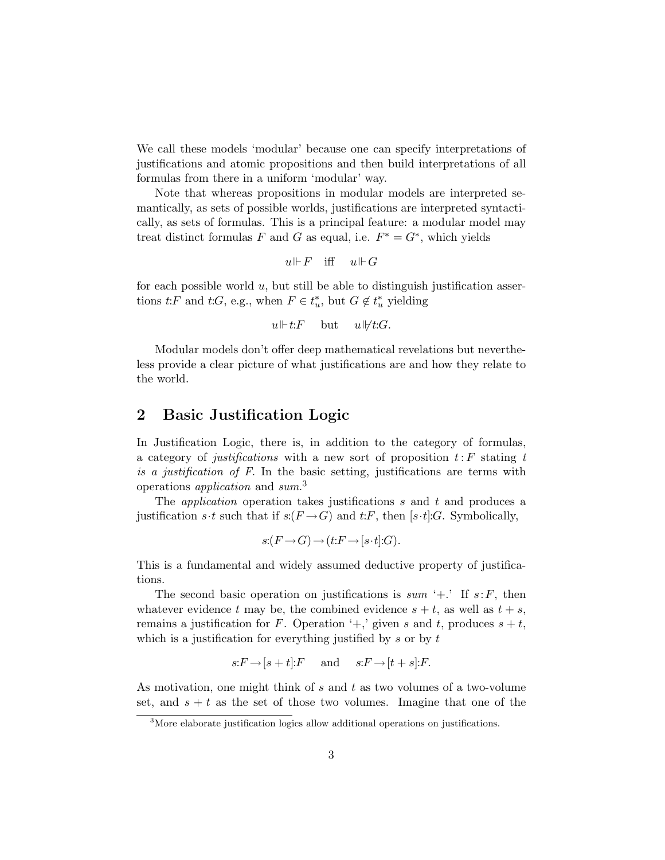We call these models 'modular' because one can specify interpretations of justifications and atomic propositions and then build interpretations of all formulas from there in a uniform 'modular' way.

Note that whereas propositions in modular models are interpreted semantically, as sets of possible worlds, justifications are interpreted syntactically, as sets of formulas. This is a principal feature: a modular model may treat distinct formulas F and G as equal, i.e.  $F^* = G^*$ , which yields

$$
u \Vdash F \quad \text{iff} \quad u \Vdash G
$$

for each possible world  $u$ , but still be able to distinguish justification assertions  $t: F$  and  $t: G$ , e.g., when  $F \in t_u^*$ , but  $G \notin t_u^*$  yielding

$$
u \Vdash t: F \quad \text{but} \quad u \Vdash t: G.
$$

Modular models don't offer deep mathematical revelations but nevertheless provide a clear picture of what justifications are and how they relate to the world.

## 2 Basic Justification Logic

In Justification Logic, there is, in addition to the category of formulas, a category of justifications with a new sort of proposition  $t: F$  stating t is a justification of F. In the basic setting, justifications are terms with operations *application* and sum.<sup>3</sup>

The *application* operation takes justifications s and t and produces a justification s·t such that if  $s:(F \to G)$  and t:F, then [s·t]:G. Symbolically,

$$
s: (F \to G) \to (t: F \to [s \cdot t]: G).
$$

This is a fundamental and widely assumed deductive property of justifications.

The second basic operation on justifications is  $sum' +$ . If  $s: F$ , then whatever evidence t may be, the combined evidence  $s + t$ , as well as  $t + s$ , remains a justification for F. Operation  $\ddots$ , given s and t, produces  $s + t$ , which is a justification for everything justified by  $s$  or by  $t$ 

$$
s: F \rightarrow [s+t]: F
$$
 and  $s: F \rightarrow [t+s]: F$ .

As motivation, one might think of s and t as two volumes of a two-volume set, and  $s + t$  as the set of those two volumes. Imagine that one of the

<sup>&</sup>lt;sup>3</sup>More elaborate justification logics allow additional operations on justifications.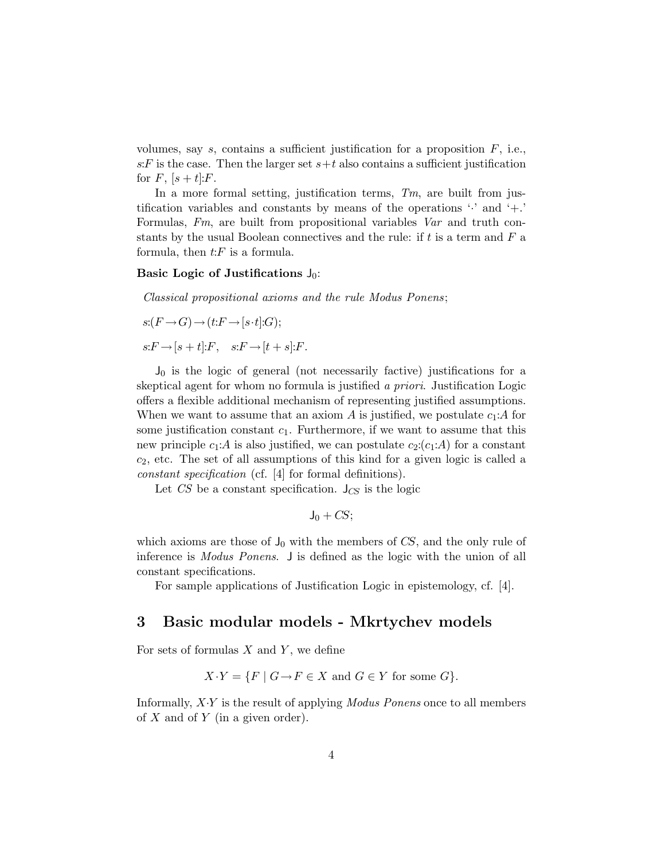volumes, say  $s$ , contains a sufficient justification for a proposition  $F$ , i.e., s: F is the case. Then the larger set  $s+t$  also contains a sufficient justification for  $F$ ,  $[s + t]:F$ .

In a more formal setting, justification terms,  $T_m$ , are built from justification variables and constants by means of the operations  $\cdot$  and  $\cdot$ . Formulas, Fm, are built from propositional variables Var and truth constants by the usual Boolean connectives and the rule: if  $t$  is a term and  $F$  a formula, then  $t$ :  $\overline{F}$  is a formula.

#### Basic Logic of Justifications  $J_0$ :

Classical propositional axioms and the rule Modus Ponens;

$$
s:(F\rightarrow G)\rightarrow (t:F\rightarrow [s\cdot t]:G);
$$
  

$$
s:F\rightarrow [s+t]:F, \quad s:F\rightarrow [t+s]:F.
$$

 $J_0$  is the logic of general (not necessarily factive) justifications for a skeptical agent for whom no formula is justified a priori. Justification Logic offers a flexible additional mechanism of representing justified assumptions. When we want to assume that an axiom A is justified, we postulate  $c_1$ :A for some justification constant  $c_1$ . Furthermore, if we want to assume that this new principle  $c_1:A$  is also justified, we can postulate  $c_2:(c_1:A)$  for a constant  $c_2$ , etc. The set of all assumptions of this kind for a given logic is called a constant specification (cf. [4] for formal definitions).

Let  $CS$  be a constant specification.  $J_{CS}$  is the logic

$$
J_0 + \mathit{CS};
$$

which axioms are those of  $J_0$  with the members of CS, and the only rule of inference is Modus Ponens. J is defined as the logic with the union of all constant specifications.

For sample applications of Justification Logic in epistemology, cf. [4].

### 3 Basic modular models - Mkrtychev models

For sets of formulas  $X$  and  $Y$ , we define

$$
X \cdot Y = \{ F \mid G \to F \in X \text{ and } G \in Y \text{ for some } G \}.
$$

Informally,  $XY$  is the result of applying *Modus Ponens* once to all members of  $X$  and of  $Y$  (in a given order).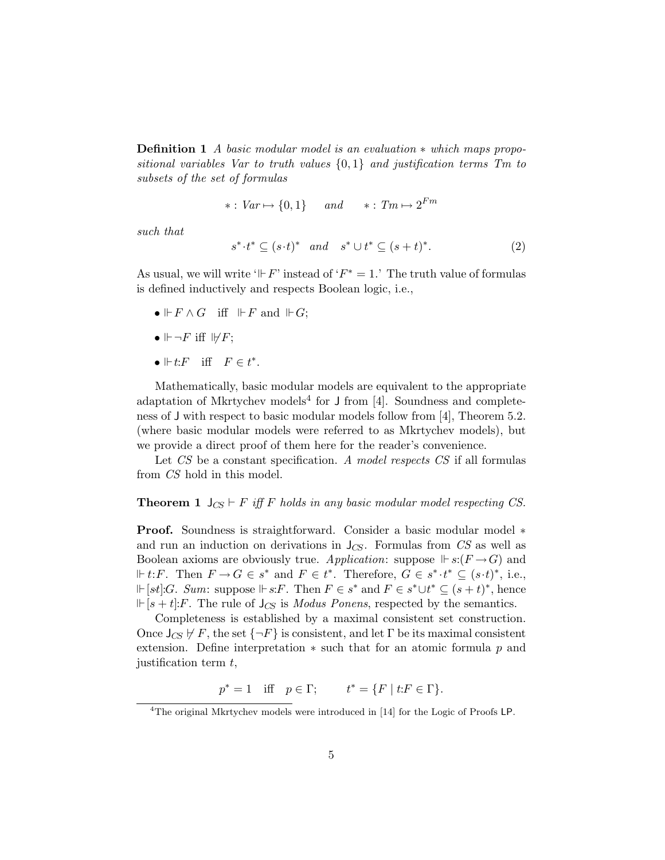Definition 1 A basic modular model is an evaluation ∗ which maps propositional variables Var to truth values  $\{0,1\}$  and justification terms Tm to subsets of the set of formulas

$$
* : Var \mapsto \{0, 1\} \qquad and \qquad * : Tm \mapsto 2^{Fm}
$$

such that

$$
s^* \tcdot t^* \subseteq (s \tcdot t)^* \quad and \quad s^* \cup t^* \subseteq (s+t)^*.
$$
 (2)

As usual, we will write ' $\Vdash F$ ' instead of ' $F^* = 1$ .' The truth value of formulas is defined inductively and respects Boolean logic, i.e.,

- $\bullet \Vdash F \wedge G$  iff  $\Vdash F$  and  $\Vdash G$ ;
- $\mathbb{H} \neg F$  iff  $\mathbb{H} F$ ;
- $\Vdash t$ :  $F$  iff  $F \in t^*$ .

Mathematically, basic modular models are equivalent to the appropriate adaptation of Mkrtychev models<sup>4</sup> for  $J$  from [4]. Soundness and completeness of J with respect to basic modular models follow from [4], Theorem 5.2. (where basic modular models were referred to as Mkrtychev models), but we provide a direct proof of them here for the reader's convenience.

Let CS be a constant specification. A model respects CS if all formulas from CS hold in this model.

**Theorem 1**  $J_{CS} \vdash F$  iff F holds in any basic modular model respecting CS.

Proof. Soundness is straightforward. Consider a basic modular model ∗ and run an induction on derivations in  $J_{CS}$ . Formulas from CS as well as Boolean axioms are obviously true. Application: suppose  $\mathbb{F} s: (F \to G)$  and  $\Vdash t: F$ . Then  $F \to G \in s^*$  and  $F \in t^*$ . Therefore,  $G \in s^* \cdot t^* \subseteq (s \cdot t)^*$ , i.e.,  $\Vdash [st]:G$ . Sum: suppose  $\Vdash s:F$ . Then  $F \in s^*$  and  $F \in s^* \cup t^* \subseteq (s+t)^*$ , hence  $\mathbb{F}[s + t]:F$ . The rule of  $J_{CS}$  is *Modus Ponens*, respected by the semantics.

Completeness is established by a maximal consistent set construction. Once  $J_{CS} \nvdash F$ , the set  $\{\neg F\}$  is consistent, and let  $\Gamma$  be its maximal consistent extension. Define interpretation  $*$  such that for an atomic formula p and justification term  $t$ ,

 $p^* = 1$  iff  $p \in \Gamma$ ;  $t^* = \{F \mid t: F \in \Gamma\}.$ 

<sup>4</sup>The original Mkrtychev models were introduced in [14] for the Logic of Proofs LP.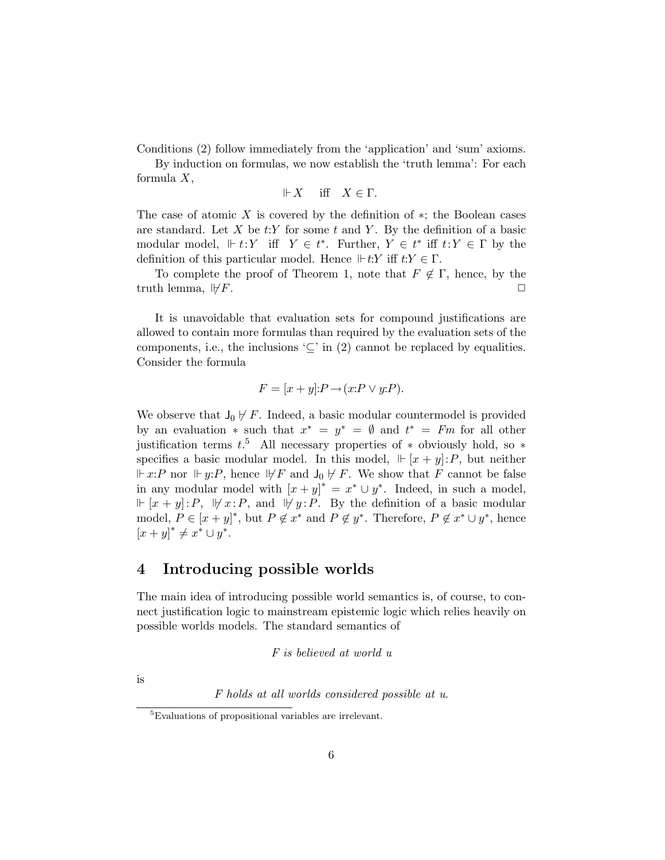Conditions (2) follow immediately from the 'application' and 'sum' axioms.

By induction on formulas, we now establish the 'truth lemma': For each formula X,

$$
\Vdash X \quad \text{ iff } \quad X \in \Gamma.
$$

The case of atomic  $X$  is covered by the definition of  $*$ ; the Boolean cases are standard. Let X be  $t:Y$  for some t and Y. By the definition of a basic modular model,  $\Vdash t: Y$  iff  $Y \in t^*$ . Further,  $Y \in t^*$  iff  $t: Y \in \Gamma$  by the definition of this particular model. Hence  $\mathbb{F} t:Y$  iff  $t:Y \in \Gamma$ .

To complete the proof of Theorem 1, note that  $F \notin \Gamma$ , hence, by the truth lemma,  $\forall F$ .

It is unavoidable that evaluation sets for compound justifications are allowed to contain more formulas than required by the evaluation sets of the components, i.e., the inclusions ' $\subseteq$ ' in (2) cannot be replaced by equalities. Consider the formula

$$
F = [x + y] : P \rightarrow (x : P \vee y : P).
$$

We observe that  $J_0 \not\vdash F$ . Indeed, a basic modular countermodel is provided by an evaluation  $*$  such that  $x^* = y^* = \emptyset$  and  $t^* = Fm$  for all other justification terms  $t^{5}$ . All necessary properties of  $*$  obviously hold, so  $*$ specifies a basic modular model. In this model,  $\Vdash [x + y] : P$ , but neither  $\Vdash x: P$  nor  $\Vdash y: P$ , hence  $\Vdash F$  and  $\mathsf{J}_0 \not\vdash F$ . We show that F cannot be false in any modular model with  $[x + y]^* = x^* \cup y^*$ . Indeed, in such a model,  $\Vdash [x + y]: P, \forall x: P, \text{ and } \forall y: P. \text{ By the definition of a basic modular}$ model,  $P \in [x+y]^*$ , but  $P \notin x^*$  and  $P \notin y^*$ . Therefore,  $P \notin x^* \cup y^*$ , hence  $[x + y]^* \neq x^* \cup y^*.$ 

## 4 Introducing possible worlds

The main idea of introducing possible world semantics is, of course, to connect justification logic to mainstream epistemic logic which relies heavily on possible worlds models. The standard semantics of

F is believed at world u

is

F holds at all worlds considered possible at u.

<sup>5</sup>Evaluations of propositional variables are irrelevant.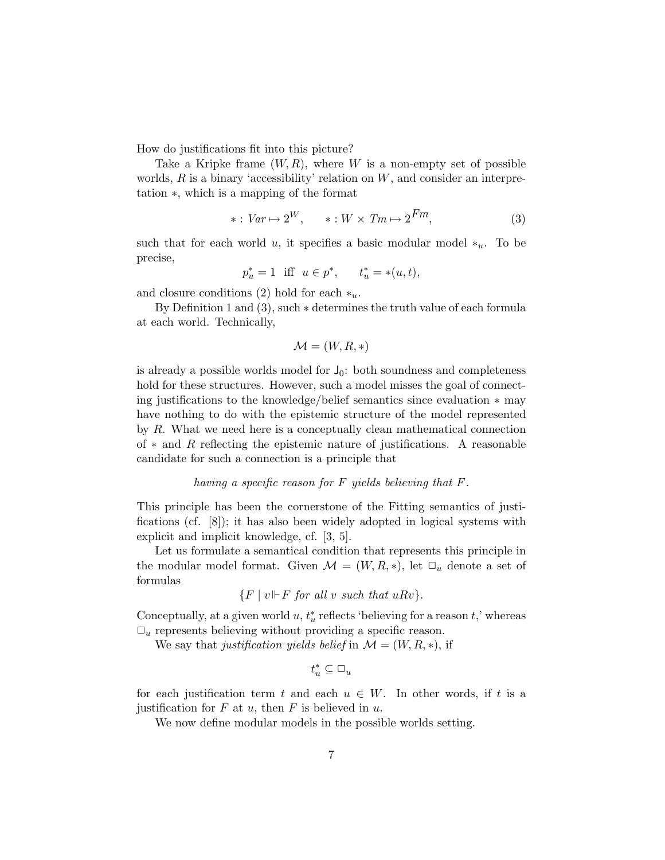How do justifications fit into this picture?

Take a Kripke frame  $(W, R)$ , where W is a non-empty set of possible worlds,  $R$  is a binary 'accessibility' relation on  $W$ , and consider an interpretation ∗, which is a mapping of the format

$$
* : Var \mapsto 2^{W}, \qquad * : W \times Tm \mapsto 2^{Fm}, \tag{3}
$$

such that for each world u, it specifies a basic modular model  $*_u$ . To be precise,

$$
p_u^* = 1
$$
 iff  $u \in p^*$ ,  $t_u^* = *(u, t)$ ,

and closure conditions (2) hold for each  $*_u$ .

By Definition 1 and (3), such ∗ determines the truth value of each formula at each world. Technically,

$$
\mathcal{M} = (W, R, *)
$$

is already a possible worlds model for  $J_0$ : both soundness and completeness hold for these structures. However, such a model misses the goal of connecting justifications to the knowledge/belief semantics since evaluation ∗ may have nothing to do with the epistemic structure of the model represented by R. What we need here is a conceptually clean mathematical connection of  $*$  and R reflecting the epistemic nature of justifications. A reasonable candidate for such a connection is a principle that

#### having a specific reason for F yields believing that F.

This principle has been the cornerstone of the Fitting semantics of justifications (cf. [8]); it has also been widely adopted in logical systems with explicit and implicit knowledge, cf. [3, 5].

Let us formulate a semantical condition that represents this principle in the modular model format. Given  $\mathcal{M} = (W, R, *)$ , let  $\Box_u$  denote a set of formulas

$$
\{F \mid v \Vdash F \text{ for all } v \text{ such that } uRv\}.
$$

Conceptually, at a given world  $u, t_u^*$  reflects 'believing for a reason  $t$ ,' whereas  $\Box_u$  represents believing without providing a specific reason.

We say that justification yields belief in  $\mathcal{M} = (W, R, *)$ , if

$$
t_u^* \subseteq \Box_u
$$

for each justification term t and each  $u \in W$ . In other words, if t is a justification for  $F$  at  $u$ , then  $F$  is believed in  $u$ .

We now define modular models in the possible worlds setting.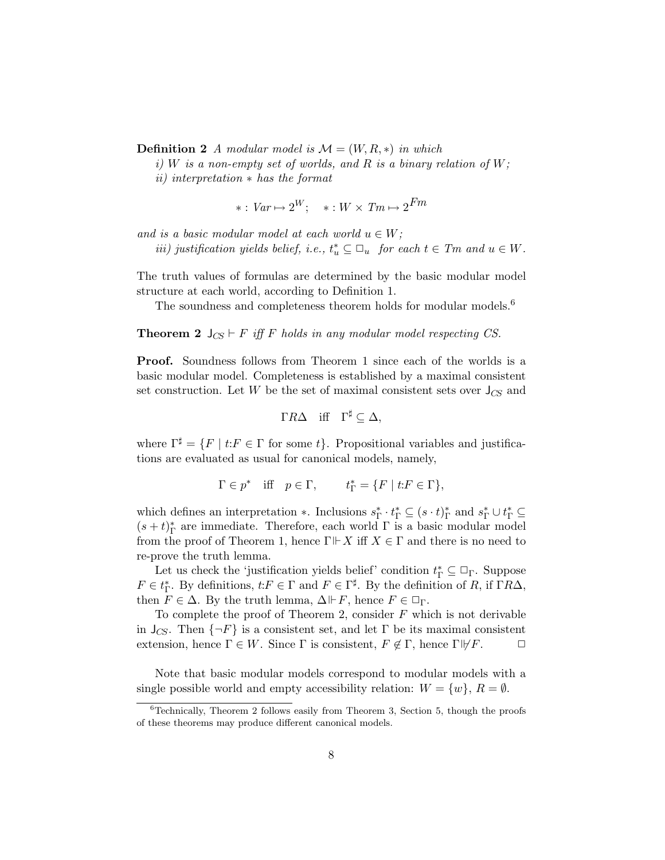**Definition 2** A modular model is  $\mathcal{M} = (W, R, *)$  in which

i) W is a non-empty set of worlds, and R is a binary relation of  $W$ ;

ii) interpretation ∗ has the format

$$
* : Var \mapsto 2^W; \quad * : W \times Tm \mapsto 2^{Fm}
$$

and is a basic modular model at each world  $u \in W$ ;

*iii*) justification yields belief, i.e.,  $t_u^* \subseteq \Box_u$  for each  $t \in Tm$  and  $u \in W$ .

The truth values of formulas are determined by the basic modular model structure at each world, according to Definition 1.

The soundness and completeness theorem holds for modular models.<sup>6</sup>

**Theorem 2**  $J_{CS} \vdash F$  iff F holds in any modular model respecting CS.

Proof. Soundness follows from Theorem 1 since each of the worlds is a basic modular model. Completeness is established by a maximal consistent set construction. Let W be the set of maximal consistent sets over  $J_{CS}$  and

$$
\Gamma R \Delta \quad \text{iff} \quad \Gamma^{\sharp} \subseteq \Delta,
$$

where  $\Gamma^{\sharp} = \{F \mid t: F \in \Gamma \text{ for some } t\}.$  Propositional variables and justifications are evaluated as usual for canonical models, namely,

$$
\Gamma \in p^* \quad \text{iff} \quad p \in \Gamma, \qquad t_{\Gamma}^* = \{ F \mid t : F \in \Gamma \},
$$

which defines an interpretation ∗. Inclusions  $s_{\Gamma}^* \cdot t_{\Gamma}^* \subseteq (s \cdot t)_{\Gamma}^*$  and  $s_{\Gamma}^* \cup t_{\Gamma}^* \subseteq$  $(s+t)_\Gamma^*$  are immediate. Therefore, each world  $\Gamma$  is a basic modular model from the proof of Theorem 1, hence  $\Gamma \vdash X$  iff  $X \in \Gamma$  and there is no need to re-prove the truth lemma.

Let us check the 'justification yields belief' condition  $t_{\Gamma}^* \subseteq \Box_{\Gamma}$ . Suppose  $F \in t_{\Gamma}^*$ . By definitions,  $t: F \in \Gamma$  and  $F \in \Gamma^{\sharp}$ . By the definition of R, if  $\Gamma R\Delta$ , then  $F \in \Delta$ . By the truth lemma,  $\Delta \Vdash F$ , hence  $F \in \Box_{\Gamma}$ .

To complete the proof of Theorem 2, consider  $F$  which is not derivable in  $J_{CS}$ . Then  $\{\neg F\}$  is a consistent set, and let  $\Gamma$  be its maximal consistent extension, hence  $\Gamma \in W$ . Since  $\Gamma$  is consistent,  $F \notin \Gamma$ , hence  $\Gamma \not\vdash F$ .  $\Box$ 

Note that basic modular models correspond to modular models with a single possible world and empty accessibility relation:  $W = \{w\}, R = \emptyset$ .

 $6$ Technically, Theorem 2 follows easily from Theorem 3, Section 5, though the proofs of these theorems may produce different canonical models.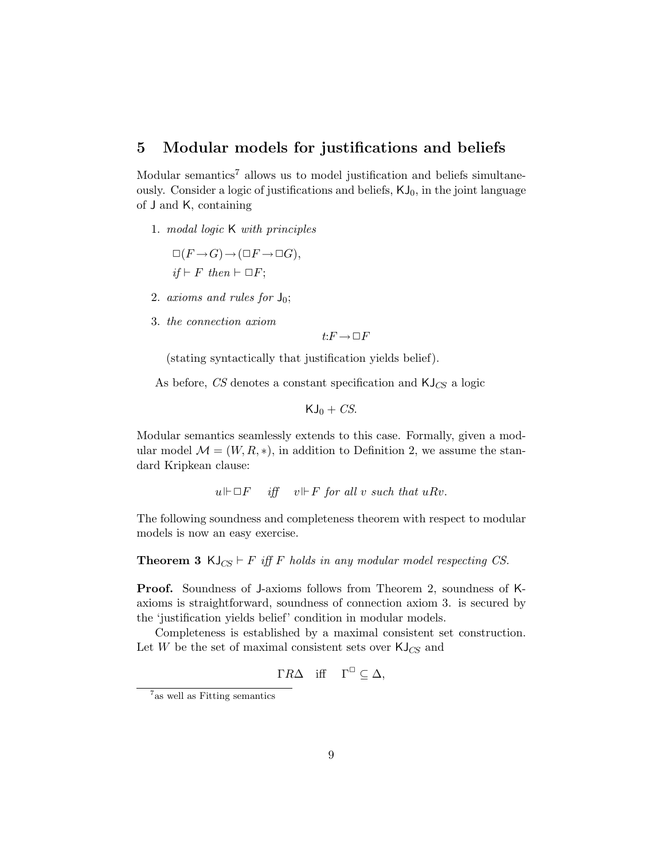## 5 Modular models for justifications and beliefs

Modular semantics<sup>7</sup> allows us to model justification and beliefs simultaneously. Consider a logic of justifications and beliefs,  $KJ_0$ , in the joint language of J and K, containing

1. modal logic K with principles

$$
\Box(F \to G) \to (\Box F \to \Box G),
$$
  
if  $\vdash F$  then  $\vdash \Box F$ ;

- 2. axioms and rules for  $J_0$ ;
- 3. the connection axiom

$$
t\text{:}F \to \Box F
$$

(stating syntactically that justification yields belief).

As before, CS denotes a constant specification and  $\mathsf{KJ}_{\mathsf{CS}}$  a logic

$$
KJ_0+CS.
$$

Modular semantics seamlessly extends to this case. Formally, given a modular model  $\mathcal{M} = (W, R, *)$ , in addition to Definition 2, we assume the standard Kripkean clause:

 $u \Vdash \Box F$  iff  $v \Vdash F$  for all v such that  $u R v$ .

The following soundness and completeness theorem with respect to modular models is now an easy exercise.

**Theorem 3** KJ<sub>CS</sub>  $\vdash$  F iff F holds in any modular model respecting CS.

Proof. Soundness of J-axioms follows from Theorem 2, soundness of Kaxioms is straightforward, soundness of connection axiom 3. is secured by the 'justification yields belief' condition in modular models.

Completeness is established by a maximal consistent set construction. Let W be the set of maximal consistent sets over  $\mathsf{KJ}_{CS}$  and

$$
\Gamma R \Delta \quad \text{iff} \quad \Gamma^{\square} \subseteq \Delta,
$$

<sup>7</sup> as well as Fitting semantics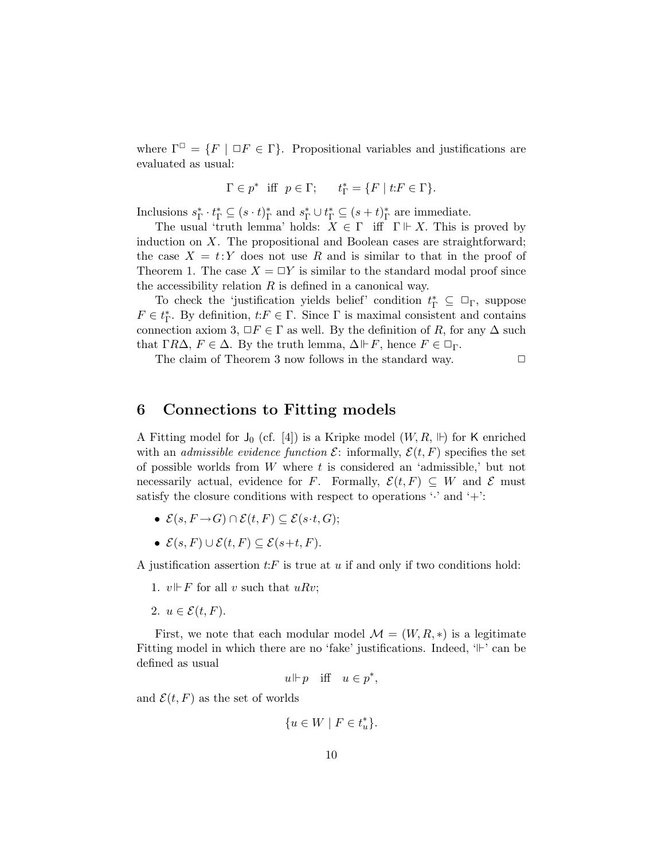where  $\Gamma^{\Box} = \{F \mid \Box F \in \Gamma\}$ . Propositional variables and justifications are evaluated as usual:

$$
\Gamma\in p^* \ \text{ iff } \ p\in \Gamma; \qquad t_\Gamma^*=\{F \mid t\text{:}F\in \Gamma\}.
$$

Inclusions  $s_{\Gamma}^* \cdot t_{\Gamma}^* \subseteq (s \cdot t)_{\Gamma}^*$  and  $s_{\Gamma}^* \cup t_{\Gamma}^* \subseteq (s + t)_{\Gamma}^*$  are immediate.

The usual 'truth lemma' holds:  $X \in \Gamma$  iff  $\Gamma \Vdash X$ . This is proved by induction on  $X$ . The propositional and Boolean cases are straightforward; the case  $X = t:Y$  does not use R and is similar to that in the proof of Theorem 1. The case  $X = \Box Y$  is similar to the standard modal proof since the accessibility relation  $R$  is defined in a canonical way.

To check the 'justification yields belief' condition  $t_{\Gamma}^* \subseteq \Box_{\Gamma}$ , suppose  $F \in t_{\Gamma}^*$ . By definition,  $t: F \in \Gamma$ . Since  $\Gamma$  is maximal consistent and contains connection axiom 3,  $\Box F \in \Gamma$  as well. By the definition of R, for any  $\Delta$  such that  $\Gamma R\Delta$ ,  $F \in \Delta$ . By the truth lemma,  $\Delta \vdash F$ , hence  $F \in \Box_{\Gamma}$ .

The claim of Theorem 3 now follows in the standard way.  $\Box$ 

### 6 Connections to Fitting models

A Fitting model for  $J_0$  (cf. [4]) is a Kripke model  $(W, R, \mathbb{H})$  for K enriched with an *admissible evidence function*  $\mathcal{E}$ : informally,  $\mathcal{E}(t, F)$  specifies the set of possible worlds from  $W$  where  $t$  is considered an 'admissible,' but not necessarily actual, evidence for F. Formally,  $\mathcal{E}(t, F) \subseteq W$  and E must satisfy the closure conditions with respect to operations  $\cdot$  and  $\cdot$  +  $\cdot$  :

- $\mathcal{E}(s, F \rightarrow G) \cap \mathcal{E}(t, F) \subseteq \mathcal{E}(s \cdot t, G);$
- $\mathcal{E}(s, F) \cup \mathcal{E}(t, F) \subseteq \mathcal{E}(s+t, F)$ .

A justification assertion  $t$ : F is true at u if and only if two conditions hold:

- 1.  $v \Vdash F$  for all v such that uRv;
- 2.  $u \in \mathcal{E}(t, F)$ .

First, we note that each modular model  $\mathcal{M} = (W, R, *)$  is a legitimate Fitting model in which there are no 'fake' justifications. Indeed,  $\vdash$ ' can be defined as usual

$$
u \Vdash p \quad \text{iff} \quad u \in p^*,
$$

and  $\mathcal{E}(t, F)$  as the set of worlds

$$
\{u \in W \mid F \in t_u^*\}.
$$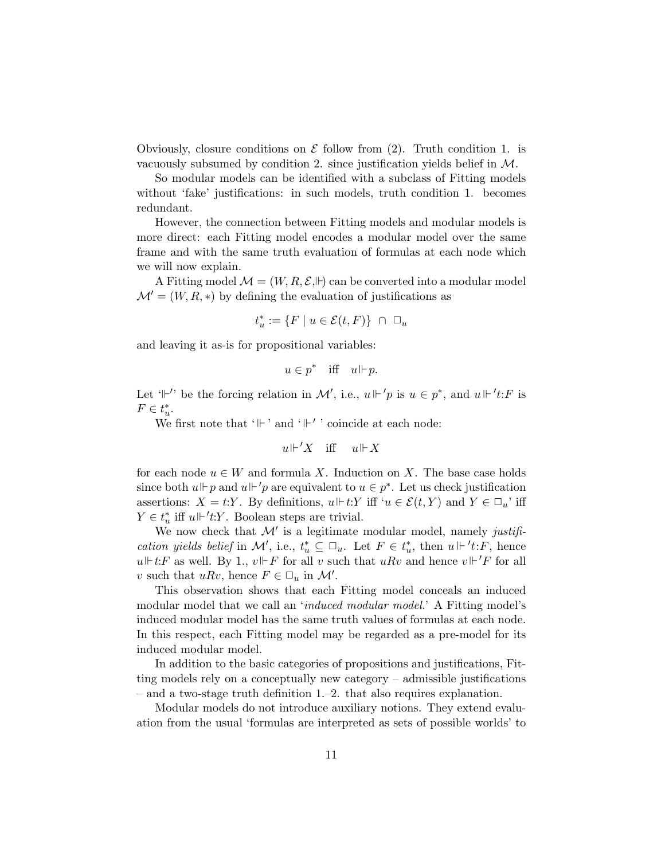Obviously, closure conditions on  $\mathcal E$  follow from (2). Truth condition 1. is vacuously subsumed by condition 2. since justification yields belief in  $\mathcal{M}$ .

So modular models can be identified with a subclass of Fitting models without 'fake' justifications: in such models, truth condition 1. becomes redundant.

However, the connection between Fitting models and modular models is more direct: each Fitting model encodes a modular model over the same frame and with the same truth evaluation of formulas at each node which we will now explain.

A Fitting model  $\mathcal{M} = (W, R, \mathcal{E}, \mathbb{H})$  can be converted into a modular model  $\mathcal{M} = (W, R, *)$  by defining the evaluation of justifications as

$$
t_u^* := \{ F \mid u \in \mathcal{E}(t, F) \} \ \cap \ \Box_u
$$

and leaving it as-is for propositional variables:

$$
u \in p^* \quad \text{iff} \quad u \Vdash p.
$$

Let ' $\Vdash'$ ' be the forcing relation in M', i.e.,  $u \Vdash' p$  is  $u \in p^*$ , and  $u \Vdash' t$ : F is  $F \in t_u^*$ .

We first note that ' $\mathbb{H}$  ' and ' $\mathbb{H}'$  ' coincide at each node:

$$
u \Vdash' X \quad \text{iff} \quad u \Vdash X
$$

for each node  $u \in W$  and formula X. Induction on X. The base case holds since both  $u \Vdash p$  and  $u \Vdash' p$  are equivalent to  $u \in p^*$ . Let us check justification assertions:  $X = t:Y$ . By definitions,  $u \Vdash t:Y$  iff  $u \in \mathcal{E}(t,Y)$  and  $Y \in \Box_u$  iff  $Y \in t_u^*$  iff  $u \Vdash 't:Y$ . Boolean steps are trivial.

We now check that  $\mathcal{M}'$  is a legitimate modular model, namely justification yields belief in M', i.e.,  $t_u^* \subseteq \Box_u$ . Let  $F \in t_u^*$ , then  $u \Vdash 't$ : F, hence  $u \Vdash t$ :F as well. By 1,  $v \Vdash F$  for all v such that  $u R v$  and hence  $v \Vdash' F$  for all v such that  $u R v$ , hence  $F \in \Box_u$  in  $\mathcal{M}'$ .

This observation shows that each Fitting model conceals an induced modular model that we call an 'induced modular model.' A Fitting model's induced modular model has the same truth values of formulas at each node. In this respect, each Fitting model may be regarded as a pre-model for its induced modular model.

In addition to the basic categories of propositions and justifications, Fitting models rely on a conceptually new category – admissible justifications – and a two-stage truth definition 1.–2. that also requires explanation.

Modular models do not introduce auxiliary notions. They extend evaluation from the usual 'formulas are interpreted as sets of possible worlds' to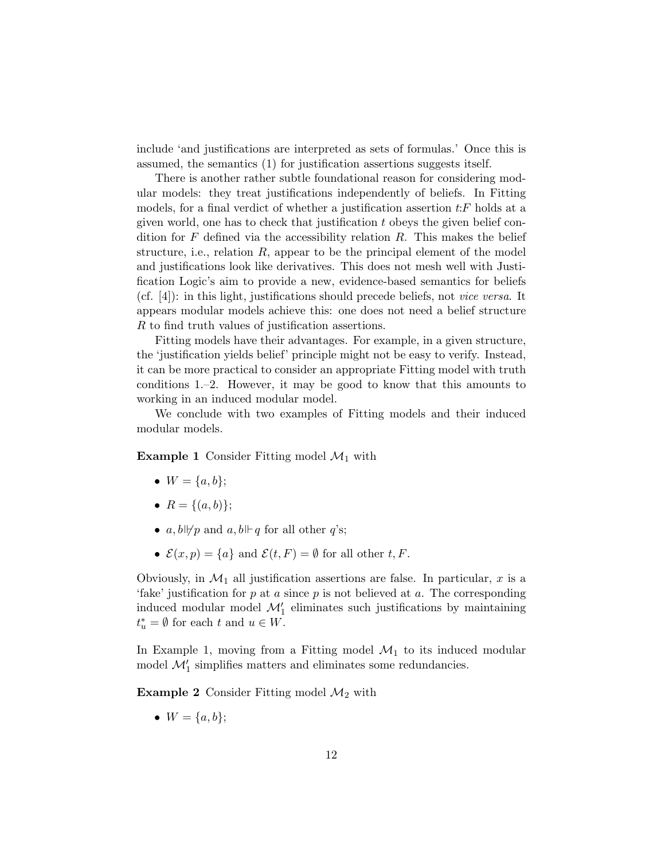include 'and justifications are interpreted as sets of formulas.' Once this is assumed, the semantics (1) for justification assertions suggests itself.

There is another rather subtle foundational reason for considering modular models: they treat justifications independently of beliefs. In Fitting models, for a final verdict of whether a justification assertion  $t$ : F holds at a given world, one has to check that justification  $t$  obeys the given belief condition for F defined via the accessibility relation  $R$ . This makes the belief structure, i.e., relation  $R$ , appear to be the principal element of the model and justifications look like derivatives. This does not mesh well with Justification Logic's aim to provide a new, evidence-based semantics for beliefs (cf. [4]): in this light, justifications should precede beliefs, not vice versa. It appears modular models achieve this: one does not need a belief structure R to find truth values of justification assertions.

Fitting models have their advantages. For example, in a given structure, the 'justification yields belief' principle might not be easy to verify. Instead, it can be more practical to consider an appropriate Fitting model with truth conditions 1.–2. However, it may be good to know that this amounts to working in an induced modular model.

We conclude with two examples of Fitting models and their induced modular models.

**Example 1** Consider Fitting model  $\mathcal{M}_1$  with

- $W = \{a, b\};$
- $R = \{(a, b)\};$
- a,  $b \not\vdash p$  and a,  $b \not\vdash q$  for all other q's;
- $\mathcal{E}(x, p) = \{a\}$  and  $\mathcal{E}(t, F) = \emptyset$  for all other t, F.

Obviously, in  $\mathcal{M}_1$  all justification assertions are false. In particular, x is a 'fake' justification for  $p$  at  $a$  since  $p$  is not believed at  $a$ . The corresponding induced modular model  $\mathcal{M}'_1$  eliminates such justifications by maintaining  $t_u^* = \emptyset$  for each t and  $u \in W$ .

In Example 1, moving from a Fitting model  $\mathcal{M}_1$  to its induced modular model  $\mathcal{M}_1'$  simplifies matters and eliminates some redundancies.

**Example 2** Consider Fitting model  $\mathcal{M}_2$  with

•  $W = \{a, b\};$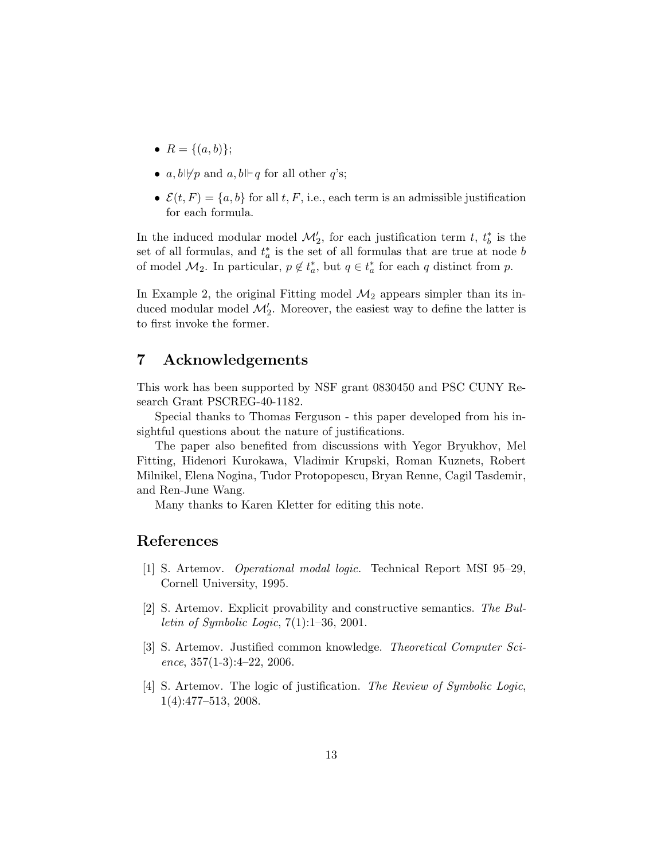- $R = \{(a, b)\};$
- a,  $b \not\vdash p$  and  $a, b \not\vdash q$  for all other q's;
- $\mathcal{E}(t, F) = \{a, b\}$  for all t, F, i.e., each term is an admissible justification for each formula.

In the induced modular model  $\mathcal{M}'_2$ , for each justification term t,  $t_b^*$  is the set of all formulas, and  $t_a^*$  is the set of all formulas that are true at node b of model  $\mathcal{M}_2$ . In particular,  $p \notin t_a^*$ , but  $q \in t_a^*$  for each q distinct from p.

In Example 2, the original Fitting model  $\mathcal{M}_2$  appears simpler than its induced modular model  $\mathcal{M}'_2$ . Moreover, the easiest way to define the latter is to first invoke the former.

## 7 Acknowledgements

This work has been supported by NSF grant 0830450 and PSC CUNY Research Grant PSCREG-40-1182.

Special thanks to Thomas Ferguson - this paper developed from his insightful questions about the nature of justifications.

The paper also benefited from discussions with Yegor Bryukhov, Mel Fitting, Hidenori Kurokawa, Vladimir Krupski, Roman Kuznets, Robert Milnikel, Elena Nogina, Tudor Protopopescu, Bryan Renne, Cagil Tasdemir, and Ren-June Wang.

Many thanks to Karen Kletter for editing this note.

### References

- [1] S. Artemov. Operational modal logic. Technical Report MSI 95–29, Cornell University, 1995.
- [2] S. Artemov. Explicit provability and constructive semantics. The Bul*letin of Symbolic Logic*,  $7(1):1-36$ , 2001.
- [3] S. Artemov. Justified common knowledge. Theoretical Computer Science,  $357(1-3):4-22$ ,  $2006$ .
- [4] S. Artemov. The logic of justification. The Review of Symbolic Logic, 1(4):477–513, 2008.